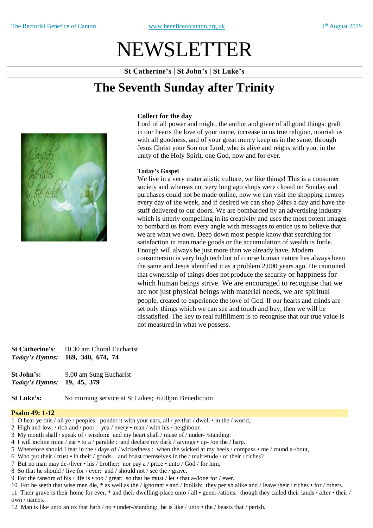# NEWSLETTER

**St Catherine's | St John's | St Luke's**

# **The Seventh Sunday after Trinity**



#### **Collect for the day**

Lord of all power and might, the author and giver of all good things: graft in our hearts the love of your name, increase in us true religion, nourish us with all goodness, and of your great mercy keep us in the same; through Jesus Christ your Son our Lord, who is alive and reigns with you, in the unity of the Holy Spirit, one God, now and for ever.

#### **Today's Gospel**

We live in a very materialistic culture, we like things! This is a consumer society and whereas not very long ago shops were closed on Sunday and purchases could not be made online, now we can visit the shopping centres every day of the week, and if desired we can shop 24hrs a day and have the stuff delivered to our doors. We are bombarded by an advertising industry which is utterly compelling in its creativity and uses the most potent images to bombard us from every angle with messages to entice us to believe that we are what we own. Deep down most people know that searching for satisfaction in man made goods or the accumulation of wealth is futile. Enough will always be just more than we already have. Modern consumersim is very high tech but of course human nature has always been the same and Jesus identified it as a problem 2,000 years ago. He cautioned that ownership of things does not produce the security or happiness for which human beings strive. We are encouraged to recognise that we are not just physical beings with material needs, we are spiritual people, created to experience the love of God. If our hearts and minds are set only things which we can see and touch and buy, then we will be dissatisfied. The key to real fulfillment is to recognise that our true value is not measured in what we possess.

| <b>St Catherine's:</b> | 10.30 am Choral Eucharist        |
|------------------------|----------------------------------|
|                        | Today's Hymns: 169, 340, 674, 74 |

**St John's:** 9.00 am Sung Eucharist *Today's Hymns:* **19, 45, 379** 

**St Luke's:** No morning service at St Lukes; 6.00pm Benediction

#### **Psalm 49: 1-12**

- 1 O hear ye this / all ye / peoples: ponder it with your ears, all / ye that / dwell in the / world,
- 2 High and low, / rich and / poor : yea / every man / with his / neighbour.
- 3 My mouth shall / speak of / wisdom: and my heart shall / muse of / under- /standing.
- 4 I will incline mine / ear to a / parable : and declare my dark / sayings up- /on the / harp.
- 5 Wherefore should I fear in the / days of / wickedness : when the wicked at my heels / compass me / round a-/bout,
- 6 Who put their / trust in their / goods : and boast themselves in the / multi•tude / of their / riches?
- 7 But no man may de-/liver his / brother: nor pay a / price unto / God / for him,
- 8 So that he should / live for / ever: and / should not / see the / grave.
- 9 For the ransom of his / life is too / great: so that he must / let that a-/lone for / ever.
- 10 For he seeth that wise men die, \* as well as the / ignorant and / foolish: they perish alike and / leave their / riches for / others.

11 Their grave is their home for ever, \* and their dwelling-place unto / all • gener-/ations: though they called their lands / after • their / own / names.

12 Man is like unto an ox that hath / no • under-/standing: he is like / unto • the / beasts that / perish.